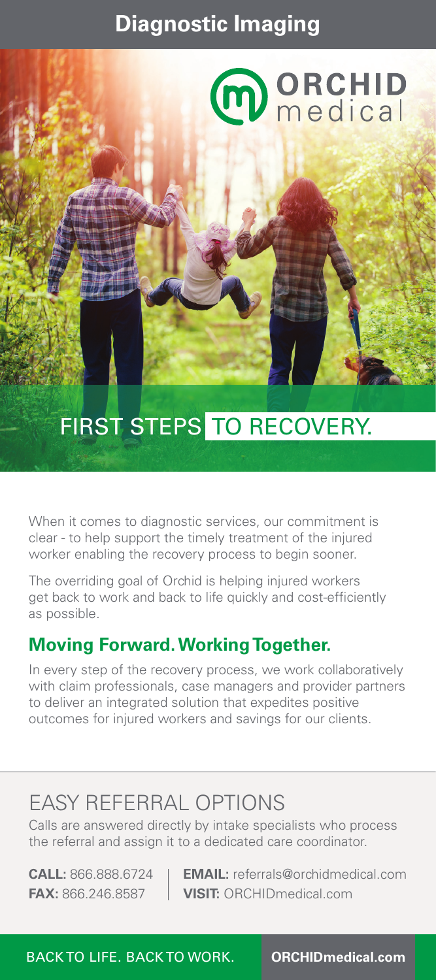## **Diagnostic Imaging**

# **MORCHID**<br>medical

# FIRST STEPS TO RECOVERY.

When it comes to diagnostic services, our commitment is clear - to help support the timely treatment of the injured worker enabling the recovery process to begin sooner.

The overriding goal of Orchid is helping injured workers get back to work and back to life quickly and cost-efficiently as possible.

### **Moving Forward. Working Together.**

In every step of the recovery process, we work collaboratively with claim professionals, case managers and provider partners to deliver an integrated solution that expedites positive outcomes for injured workers and savings for our clients.

# EASY REFERRAL OPTIONS

Calls are answered directly by intake specialists who process the referral and assign it to a dedicated care coordinator.

**CALL:** 866.888.6724 **EMAIL:** referrals@orchidmedical.com **FAX:** 866.246.8587 **VISIT:** ORCHIDmedical.com

BACK TO LIFE. BACK TO WORK. **ORCHIDmedical.com**